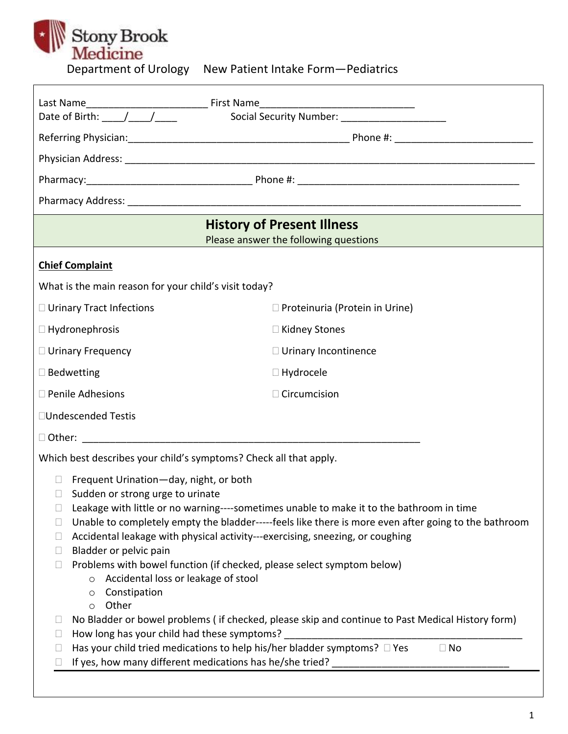# Stony Brook<br>
Medicine<br>
Department of Urology  $\vert \cdot \vert$

| y. | New Patient Intake Form-Pediatrics |
|----|------------------------------------|
|    |                                    |

|                                                                                                                                                                                            | <b>History of Present Illness</b><br>Please answer the following questions               |  |  |
|--------------------------------------------------------------------------------------------------------------------------------------------------------------------------------------------|------------------------------------------------------------------------------------------|--|--|
| <b>Chief Complaint</b>                                                                                                                                                                     |                                                                                          |  |  |
| What is the main reason for your child's visit today?                                                                                                                                      |                                                                                          |  |  |
| □ Urinary Tract Infections                                                                                                                                                                 | $\Box$ Proteinuria (Protein in Urine)                                                    |  |  |
| $\Box$ Hydronephrosis                                                                                                                                                                      | □ Kidney Stones                                                                          |  |  |
| $\Box$ Urinary Frequency                                                                                                                                                                   | □ Urinary Incontinence                                                                   |  |  |
| $\square$ Bedwetting                                                                                                                                                                       | $\Box$ Hydrocele                                                                         |  |  |
| $\Box$ Penile Adhesions                                                                                                                                                                    | $\Box$ Circumcision                                                                      |  |  |
| □Undescended Testis                                                                                                                                                                        |                                                                                          |  |  |
|                                                                                                                                                                                            |                                                                                          |  |  |
| Which best describes your child's symptoms? Check all that apply.                                                                                                                          |                                                                                          |  |  |
| Frequent Urination-day, night, or both<br>$\Box$                                                                                                                                           |                                                                                          |  |  |
| Sudden or strong urge to urinate<br>u.                                                                                                                                                     |                                                                                          |  |  |
|                                                                                                                                                                                            | Leakage with little or no warning----sometimes unable to make it to the bathroom in time |  |  |
| Unable to completely empty the bladder-----feels like there is more even after going to the bathroom<br>Accidental leakage with physical activity---exercising, sneezing, or coughing<br>u |                                                                                          |  |  |
| Bladder or pelvic pain<br>$\Box$                                                                                                                                                           |                                                                                          |  |  |
| Problems with bowel function (if checked, please select symptom below)                                                                                                                     |                                                                                          |  |  |
| Accidental loss or leakage of stool<br>$\circ$<br>Constipation<br>$\circ$                                                                                                                  |                                                                                          |  |  |
| Other<br>$\circ$                                                                                                                                                                           |                                                                                          |  |  |
| No Bladder or bowel problems (if checked, please skip and continue to Past Medical History form)                                                                                           |                                                                                          |  |  |
| How long has your child had these symptoms?                                                                                                                                                |                                                                                          |  |  |
| Has your child tried medications to help his/her bladder symptoms? $\Box$ Yes<br>$\Box$ No<br>If yes, how many different medications has he/she tried?                                     |                                                                                          |  |  |
|                                                                                                                                                                                            |                                                                                          |  |  |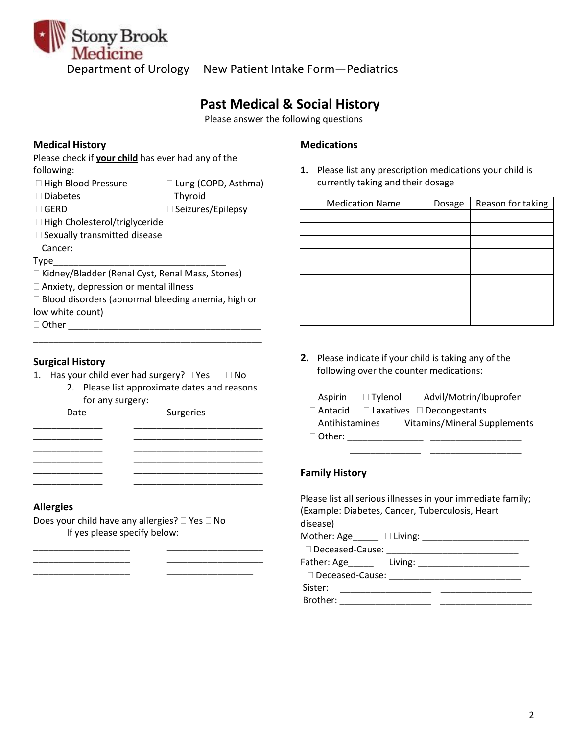

# **Past Medical & Social History**

Please answer the following questions

### **Medical History Medications**

Please check if **your child** has ever had any of the following:

- 
- □ High Blood Pressure Lung (COPD, Asthma)
- □ Diabetes Thyroid
- □ GERD Seizures/Epilepsy
- □ High Cholesterol/triglyceride
- $\square$  Sexually transmitted disease
- □ Cancer:

Type

- □ Kidney/Bladder (Renal Cyst, Renal Mass, Stones)
- Anxiety, depression or mental illness
- $\square$  Blood disorders (abnormal bleeding anemia, high or low white count)

\_\_\_\_\_\_\_\_\_\_\_\_\_\_\_\_\_\_\_\_\_\_\_\_\_\_\_\_\_\_\_\_\_\_\_\_\_\_\_\_\_\_\_\_\_

Other \_\_\_\_\_\_\_\_\_\_\_\_\_\_\_\_\_\_\_\_\_\_\_\_\_\_\_\_\_\_\_\_\_\_\_\_\_\_

### **Surgical History**

- 1. Has your child ever had surgery?  $\Box$  Yes  $\Box$  No
	- 2. Please list approximate dates and reasons for any surgery:

\_\_\_\_\_\_\_\_\_\_\_\_\_\_\_ \_\_\_\_\_\_\_\_\_\_\_\_\_\_\_\_\_\_\_\_\_\_\_\_\_\_\_\_ \_\_\_\_\_\_\_\_\_\_\_\_\_\_\_ \_\_\_\_\_\_\_\_\_\_\_\_\_\_\_\_\_\_\_\_\_\_\_\_\_\_\_\_ \_\_\_\_\_\_\_\_\_\_\_\_\_\_\_ \_\_\_\_\_\_\_\_\_\_\_\_\_\_\_\_\_\_\_\_\_\_\_\_\_\_\_\_ \_\_\_\_\_\_\_\_\_\_\_\_\_\_\_ \_\_\_\_\_\_\_\_\_\_\_\_\_\_\_\_\_\_\_\_\_\_\_\_\_\_\_\_ \_\_\_\_\_\_\_\_\_\_\_\_\_\_\_ \_\_\_\_\_\_\_\_\_\_\_\_\_\_\_\_\_\_\_\_\_\_\_\_\_\_\_\_ \_\_\_\_\_\_\_\_\_\_\_\_\_\_\_ \_\_\_\_\_\_\_\_\_\_\_\_\_\_\_\_\_\_\_\_\_\_\_\_\_\_\_\_

Date Surgeries

### **Allergies**

Does your child have any allergies?  $\Box$  Yes  $\Box$  No If yes please specify below:

 $\frac{1}{2}$  ,  $\frac{1}{2}$  ,  $\frac{1}{2}$  ,  $\frac{1}{2}$  ,  $\frac{1}{2}$  ,  $\frac{1}{2}$  ,  $\frac{1}{2}$  ,  $\frac{1}{2}$  ,  $\frac{1}{2}$  ,  $\frac{1}{2}$  ,  $\frac{1}{2}$  ,  $\frac{1}{2}$  ,  $\frac{1}{2}$  ,  $\frac{1}{2}$  ,  $\frac{1}{2}$  ,  $\frac{1}{2}$  ,  $\frac{1}{2}$  ,  $\frac{1}{2}$  ,  $\frac{1$ 

\_\_\_\_\_\_\_\_\_\_\_\_\_\_\_\_\_\_\_ \_\_\_\_\_\_\_\_\_\_\_\_\_\_\_\_\_\_\_

\_\_\_\_\_\_\_\_\_\_\_\_\_\_\_\_\_\_\_ \_\_\_\_\_\_\_\_\_\_\_\_\_\_\_\_\_

**1.** Please list any prescription medications your child is currently taking and their dosage

| <b>Medication Name</b> | Dosage | Reason for taking |
|------------------------|--------|-------------------|
|                        |        |                   |
|                        |        |                   |
|                        |        |                   |
|                        |        |                   |
|                        |        |                   |
|                        |        |                   |
|                        |        |                   |
|                        |        |                   |
|                        |        |                   |

**2.** Please indicate if your child is taking any of the following over the counter medications:

| $\Box$ Aspirin        | $\Box$ Tylenol | □ Advil/Motrin/Ibuprofen              |
|-----------------------|----------------|---------------------------------------|
| $\Box$ Antacid        |                | $\Box$ Laxatives $\Box$ Decongestants |
| $\Box$ Antihistamines |                | □ Vitamins/Mineral Supplements        |
| $\Box$ Other:         |                |                                       |

\_\_\_\_\_\_\_\_\_\_\_\_\_\_ \_\_\_\_\_\_\_\_\_\_\_\_\_\_\_\_\_\_

### **Family History**

| Please list all serious illnesses in your immediate family;<br>(Example: Diabetes, Cancer, Tuberculosis, Heart<br>disease) |  |  |  |
|----------------------------------------------------------------------------------------------------------------------------|--|--|--|
|                                                                                                                            |  |  |  |
|                                                                                                                            |  |  |  |
| Father: Age Diving:                                                                                                        |  |  |  |
|                                                                                                                            |  |  |  |
| Sister:                                                                                                                    |  |  |  |
| Brother: 2000                                                                                                              |  |  |  |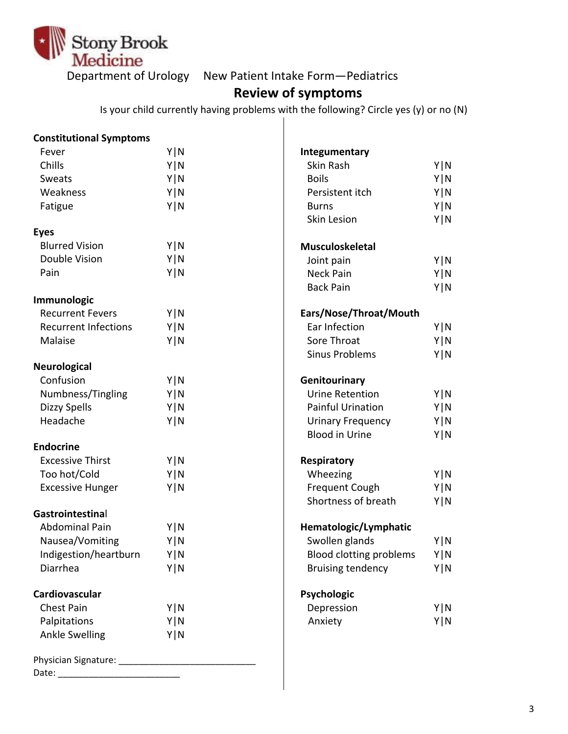

## Department of Urology New Patient Intake Form—Pediatrics

# **Review of symptoms**

Is your child currently having problems with the following? Circle yes (y) or no (N)

| <b>Constitutional Symptoms</b> |       |                                |       |
|--------------------------------|-------|--------------------------------|-------|
| Fever                          | Y N   | Integumentary                  |       |
| Chills                         | Y N   | Skin Rash                      | Y N   |
| Sweats                         | Y   N | <b>Boils</b>                   | Y N   |
| Weakness                       | Y N   | Persistent itch                | Y N   |
| Fatigue                        | Y N   | <b>Burns</b>                   | Y N   |
|                                |       | <b>Skin Lesion</b>             | Y N   |
| <b>Eyes</b>                    |       |                                |       |
| <b>Blurred Vision</b>          | Y N   | <b>Musculoskeletal</b>         |       |
| Double Vision                  | Y N   | Joint pain                     | Y N   |
| Pain                           | Y   N | <b>Neck Pain</b>               | Y N   |
|                                |       | <b>Back Pain</b>               | Y N   |
| Immunologic                    |       |                                |       |
| <b>Recurrent Fevers</b>        | Y N   | Ears/Nose/Throat/Mouth         |       |
| <b>Recurrent Infections</b>    | Y N   | Ear Infection                  | Y N   |
| Malaise                        | Y   N | Sore Throat                    | Y N   |
|                                |       | <b>Sinus Problems</b>          | Y N   |
| <b>Neurological</b>            |       |                                |       |
| Confusion                      | Y N   | Genitourinary                  |       |
| Numbness/Tingling              | Y N   | <b>Urine Retention</b>         | Y N   |
| <b>Dizzy Spells</b>            | Y   N | <b>Painful Urination</b>       | Y N   |
| Headache                       | Y N   | <b>Urinary Frequency</b>       | Y N   |
|                                |       | <b>Blood in Urine</b>          | Y N   |
| <b>Endocrine</b>               |       |                                |       |
| <b>Excessive Thirst</b>        | Y N   | Respiratory                    |       |
| Too hot/Cold                   | Y N   | Wheezing                       | Y N   |
| <b>Excessive Hunger</b>        | Y N   | <b>Frequent Cough</b>          | Y N   |
|                                |       | Shortness of breath            | Y N   |
| Gastrointestinal               |       |                                |       |
| <b>Abdominal Pain</b>          | Y   N | Hematologic/Lymphatic          |       |
| Nausea/Vomiting                | Y   N | Swollen glands                 | Y   N |
| Indigestion/heartburn          | Y   N | <b>Blood clotting problems</b> | Y N   |
| Diarrhea                       | Y N   | <b>Bruising tendency</b>       | Y N   |
| Cardiovascular                 |       | Psychologic                    |       |
| <b>Chest Pain</b>              | Y N   | Depression                     | Y N   |
| Palpitations                   | Y N   | Anxiety                        | Y N   |
| <b>Ankle Swelling</b>          | Y   N |                                |       |
| Date:                          |       |                                |       |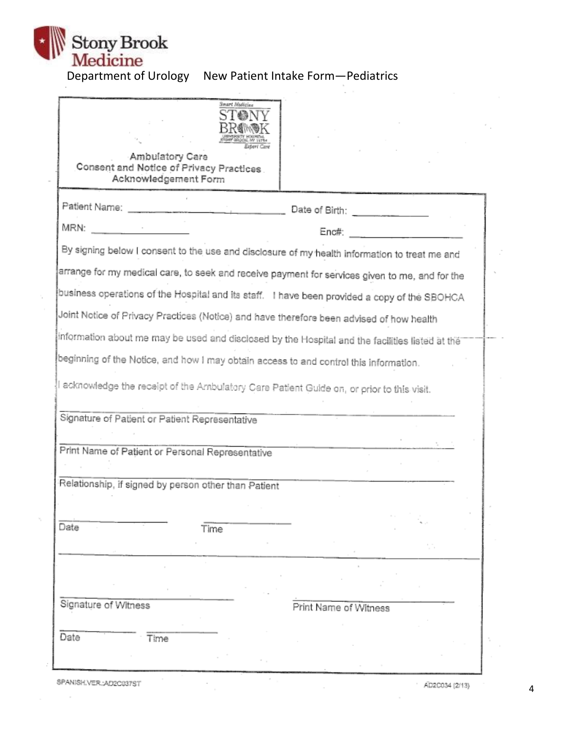

# Department of Urology New Patient Intake Form—Pediatrics

| Smart Medicine<br>Ambulatory Care                                                                                                                                                                                                                     |                             |
|-------------------------------------------------------------------------------------------------------------------------------------------------------------------------------------------------------------------------------------------------------|-----------------------------|
| Consent and Notice of Privacy Practices.<br>Acknowledgement Form                                                                                                                                                                                      |                             |
| Patient Name:<br><u> The Communication of the Communication of the Communication of the Communication of the Communication of the Communication of the Communication of the Communication of the Communication of the Communication of the Commun</u> | Date of Birth: ____________ |
| MRN:<br>$\mathcal{C}=\frac{1}{\sqrt{2\pi\sigma_{\mathrm{min}}}}$                                                                                                                                                                                      | $Enc#$ :                    |
| By signing below I consent to the use and disclosure of my health information to treat me and                                                                                                                                                         |                             |
| arrange for my medical care, to seek and receive payment for services given to me, and for the                                                                                                                                                        |                             |
| business operations of the Hospital and its staff.  I have been provided a copy of the SBOHCA                                                                                                                                                         |                             |
| Joint Notice of Privacy Practices (Notice) and have therefore been advised of how health                                                                                                                                                              |                             |
| information about me may be used and disclosed by the Hospital and the facilities listed at the                                                                                                                                                       |                             |
| beginning of the Notice, and how I may obtain access to and control this information.                                                                                                                                                                 |                             |
| I acknowledge the receipt of the Ambulatory Care Patient Guide on, or prior to this visit.                                                                                                                                                            |                             |
|                                                                                                                                                                                                                                                       |                             |
| Signature of Patient or Patient Representative                                                                                                                                                                                                        |                             |
|                                                                                                                                                                                                                                                       |                             |
| Print Name of Patient or Personal Representative                                                                                                                                                                                                      |                             |
| Relationship, if signed by person other than Patient                                                                                                                                                                                                  |                             |
|                                                                                                                                                                                                                                                       |                             |
| Date<br>Time                                                                                                                                                                                                                                          |                             |
|                                                                                                                                                                                                                                                       |                             |
|                                                                                                                                                                                                                                                       |                             |
|                                                                                                                                                                                                                                                       |                             |
| Signature of Witness                                                                                                                                                                                                                                  | Print Name of Witness       |
| Date<br>Time                                                                                                                                                                                                                                          |                             |
|                                                                                                                                                                                                                                                       |                             |
|                                                                                                                                                                                                                                                       |                             |

SPANISH.VER.:AD2C037ST

 $\cdot$ 

 $\overline{a}$